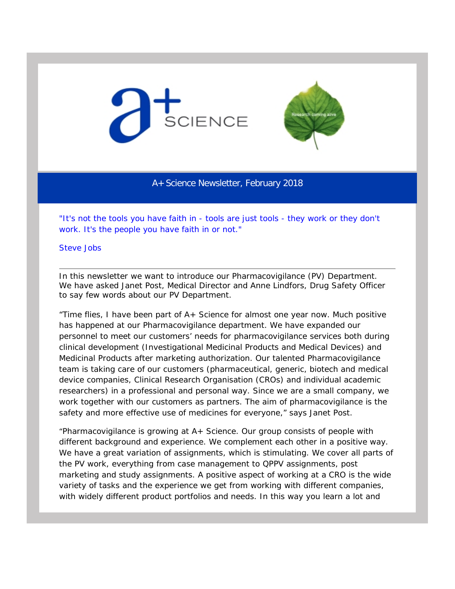



A+ Science Newsletter, February 2018

*"It's not the tools you have faith in - tools are just tools - they work or they don't work. It's the people you have faith in or not."*

Steve Jobs

In this newsletter we want to introduce our Pharmacovigilance (PV) Department. We have asked Janet Post, Medical Director and Anne Lindfors, Drug Safety Officer to say few words about our PV Department.

*"Time flies, I have been part of A+ Science for almost one year now. Much positive has happened at our Pharmacovigilance department. We have expanded our personnel to meet our customers' needs for pharmacovigilance services both during clinical development (Investigational Medicinal Products and Medical Devices) and Medicinal Products after marketing authorization. Our talented Pharmacovigilance team is taking care of our customers (pharmaceutical, generic, biotech and medical device companies, Clinical Research Organisation (CROs) and individual academic researchers) in a professional and personal way. Since we are a small company, we work together with our customers as partners. The aim of pharmacovigilance is the safety and more effective use of medicines for everyone,"* says Janet Post.

*"Pharmacovigilance is growing at A+ Science. Our group consists of people with different background and experience. We complement each other in a positive way. We have a great variation of assignments, which is stimulating. We cover all parts of the PV work, everything from case management to QPPV assignments, post marketing and study assignments. A positive aspect of working at a CRO is the wide variety of tasks and the experience we get from working with different companies,*  with widely different product portfolios and needs. In this way you learn a lot and